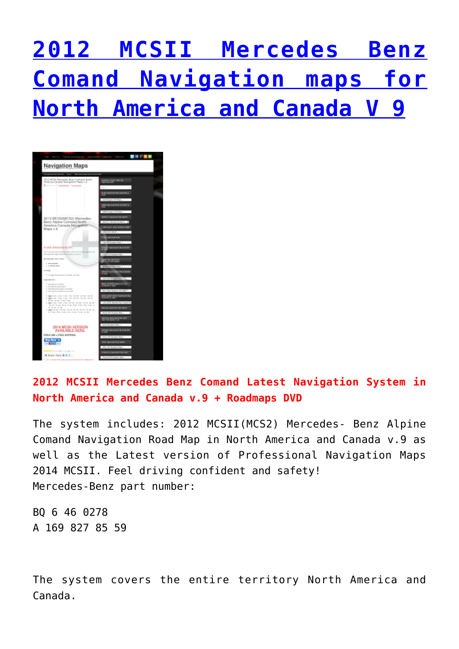## **[2012 MCSII Mercedes Benz](http://www.updatewanted.com/2012-mcsii-mercedes-benz-comand-north-americacanada-navigation-maps-v-9-full-version/) [Comand Navigation maps for](http://www.updatewanted.com/2012-mcsii-mercedes-benz-comand-north-americacanada-navigation-maps-v-9-full-version/) [North America and Canada V 9](http://www.updatewanted.com/2012-mcsii-mercedes-benz-comand-north-americacanada-navigation-maps-v-9-full-version/)**



## **2012 MCSII Mercedes Benz Comand Latest Navigation System in North America and Canada v.9 + Roadmaps DVD**

The system includes: 2012 MCSII(MCS2) Mercedes- Benz Alpine Comand Navigation Road Map in North America and Canada v.9 as well as the Latest version of Professional Navigation Maps 2014 MCSII. Feel driving confident and safety! Mercedes-Benz part number:

BQ 6 46 0278 A 169 827 85 59

The system covers the entire territory North America and Canada.